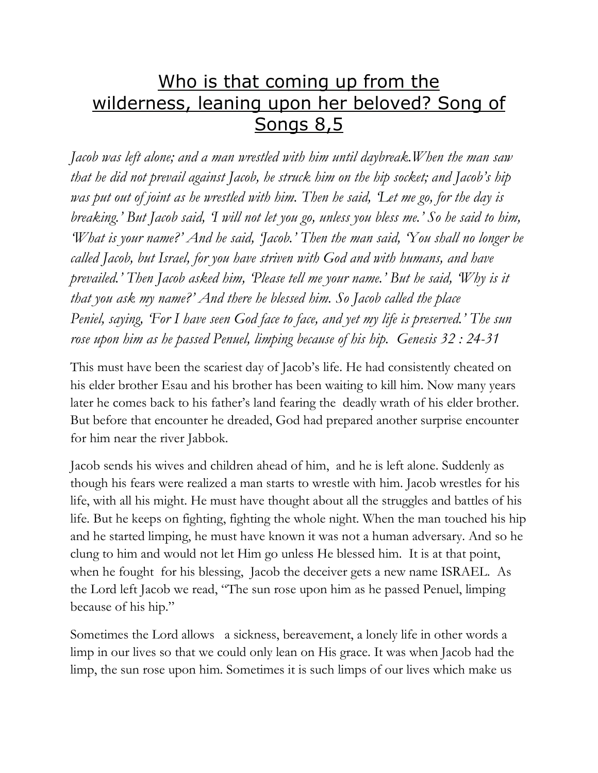## Who is that coming up from the wilderness, leaning upon her beloved? Song of Songs 8,5

*Jacob was left alone; and a man wrestled with him until daybreak.When the man saw that he did not prevail against Jacob, he struck him on the hip socket; and Jacob's hip was put out of joint as he wrestled with him. Then he said, 'Let me go, for the day is breaking.' But Jacob said, 'I will not let you go, unless you bless me.' So he said to him, 'What is your name?' And he said, 'Jacob.' Then the man said, 'You shall no longer be called Jacob, but Israel, for you have striven with God and with humans, and have prevailed.' Then Jacob asked him, 'Please tell me your name.' But he said, 'Why is it that you ask my name?' And there he blessed him. So Jacob called the place Peniel, saying, 'For I have seen God face to face, and yet my life is preserved.' The sun rose upon him as he passed Penuel, limping because of his hip. Genesis 32 : 24-31*

This must have been the scariest day of Jacob's life. He had consistently cheated on his elder brother Esau and his brother has been waiting to kill him. Now many years later he comes back to his father's land fearing the deadly wrath of his elder brother. But before that encounter he dreaded, God had prepared another surprise encounter for him near the river Jabbok.

Jacob sends his wives and children ahead of him, and he is left alone. Suddenly as though his fears were realized a man starts to wrestle with him. Jacob wrestles for his life, with all his might. He must have thought about all the struggles and battles of his life. But he keeps on fighting, fighting the whole night. When the man touched his hip and he started limping, he must have known it was not a human adversary. And so he clung to him and would not let Him go unless He blessed him. It is at that point, when he fought for his blessing, Jacob the deceiver gets a new name ISRAEL. As the Lord left Jacob we read, "The sun rose upon him as he passed Penuel, limping because of his hip."

Sometimes the Lord allows a sickness, bereavement, a lonely life in other words a limp in our lives so that we could only lean on His grace. It was when Jacob had the limp, the sun rose upon him. Sometimes it is such limps of our lives which make us